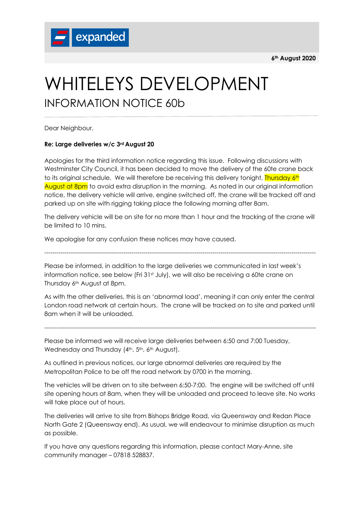**6th August 2020**



## WHITELEYS DEVELOPMENT INFORMATION NOTICE 60b

Dear Neighbour,

## **Re: Large deliveries w/c 3rd August 20**

Apologies for the third information notice regarding this issue. Following discussions with Westminster City Council, it has been decided to move the delivery of the 60te crane back to its original schedule. We will therefore be receiving this delivery tonight, Thursday 6th August at 8pm to avoid extra disruption in the morning. As noted in our original information notice, the delivery vehicle will arrive, engine switched off, the crane will be tracked off and parked up on site with rigging taking place the following morning after 8am.

The delivery vehicle will be on site for no more than 1 hour and the tracking of the crane will be limited to 10 mins.

--------------------------------------------------------------------------------------------------------------------------------------

We apologise for any confusion these notices may have caused.

Please be informed, in addition to the large deliveries we communicated in last week's information notice, see below (Fri  $31st$  July), we will also be receiving a 60te crane on Thursday 6<sup>th</sup> August at 8pm.

As with the other deliveries, this is an 'abnormal load', meaning it can only enter the central London road network at certain hours. The crane will be tracked on to site and parked until 8am when it will be unloaded.

--------------------------------------------------------------------------------------------------------------------------------------

Please be informed we will receive large deliveries between 6:50 and 7:00 Tuesday, Wednesday and Thursday (4th, 5th, 6th August).

As outlined in previous notices, our large abnormal deliveries are required by the Metropolitan Police to be off the road network by 0700 in the morning.

The vehicles will be driven on to site between 6:50-7:00. The engine will be switched off until site opening hours at 8am, when they will be unloaded and proceed to leave site. No works will take place out of hours.

The deliveries will arrive to site from Bishops Bridge Road, via Queensway and Redan Place North Gate 2 (Queensway end). As usual, we will endeavour to minimise disruption as much as possible.

If you have any questions regarding this information, please contact Mary-Anne, site community manager – 07818 528837.